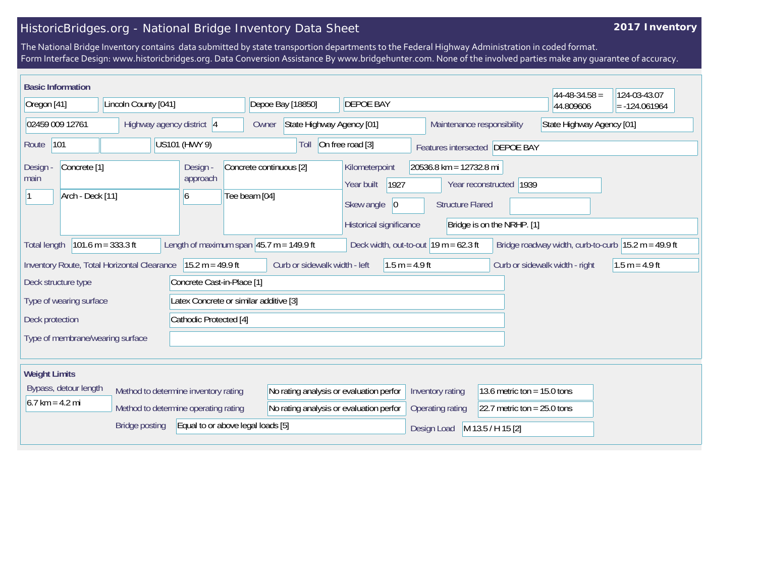## HistoricBridges.org - National Bridge Inventory Data Sheet

## **2017 Inventory**

The National Bridge Inventory contains data submitted by state transportion departments to the Federal Highway Administration in coded format. Form Interface Design: www.historicbridges.org. Data Conversion Assistance By www.bridgehunter.com. None of the involved parties make any guarantee of accuracy.

| <b>Basic Information</b><br>$44 - 48 - 34.58 =$<br>124-03-43.07                                                                                                                                                                                                                                           |  |                                      |                                          |                                                                                                                                                    |                  |                                |  |                           |                 |  |
|-----------------------------------------------------------------------------------------------------------------------------------------------------------------------------------------------------------------------------------------------------------------------------------------------------------|--|--------------------------------------|------------------------------------------|----------------------------------------------------------------------------------------------------------------------------------------------------|------------------|--------------------------------|--|---------------------------|-----------------|--|
| Oregon [41]                                                                                                                                                                                                                                                                                               |  | Lincoln County [041]                 |                                          | Depoe Bay [18850]<br><b>DEPOE BAY</b>                                                                                                              |                  |                                |  | 44.809606                 | $= -124.061964$ |  |
| 02459 009 12761                                                                                                                                                                                                                                                                                           |  | Highway agency district 4            |                                          | State Highway Agency [01]<br>Owner                                                                                                                 |                  | Maintenance responsibility     |  | State Highway Agency [01] |                 |  |
| 101<br>US101 (HWY 9)<br>Route                                                                                                                                                                                                                                                                             |  |                                      | Toll                                     | On free road [3]                                                                                                                                   |                  | Features intersected DEPOE BAY |  |                           |                 |  |
| Concrete <sup>[1]</sup><br>Design<br>main<br>Arch - Deck [11]                                                                                                                                                                                                                                             |  | Design -<br>approach<br>6            | Concrete continuous [2]<br>Tee beam [04] | 20536.8 km = 12732.8 mi<br>Kilometerpoint<br>1927<br>Year reconstructed 1939<br>Year built<br>Skew angle<br>$ 0\rangle$<br><b>Structure Flared</b> |                  |                                |  |                           |                 |  |
| Historical significance<br>Bridge is on the NRHP. [1]<br>Length of maximum span $ 45.7 \text{ m} = 149.9 \text{ ft}$<br>$101.6 m = 333.3 ft$<br>Deck width, out-to-out $19 \text{ m} = 62.3 \text{ ft}$<br>Bridge roadway width, curb-to-curb $ 15.2 \text{ m} = 49.9 \text{ ft} $<br><b>Total length</b> |  |                                      |                                          |                                                                                                                                                    |                  |                                |  |                           |                 |  |
| Inventory Route, Total Horizontal Clearance   15.2 m = 49.9 ft<br>Curb or sidewalk width - left<br>$1.5 m = 4.9 ft$<br>Curb or sidewalk width - right<br>$1.5 m = 4.9 ft$                                                                                                                                 |  |                                      |                                          |                                                                                                                                                    |                  |                                |  |                           |                 |  |
| Deck structure type                                                                                                                                                                                                                                                                                       |  |                                      | Concrete Cast-in-Place [1]               |                                                                                                                                                    |                  |                                |  |                           |                 |  |
| Type of wearing surface                                                                                                                                                                                                                                                                                   |  |                                      |                                          | Latex Concrete or similar additive [3]                                                                                                             |                  |                                |  |                           |                 |  |
| Deck protection                                                                                                                                                                                                                                                                                           |  |                                      | Cathodic Protected [4]                   |                                                                                                                                                    |                  |                                |  |                           |                 |  |
| Type of membrane/wearing surface                                                                                                                                                                                                                                                                          |  |                                      |                                          |                                                                                                                                                    |                  |                                |  |                           |                 |  |
| <b>Weight Limits</b>                                                                                                                                                                                                                                                                                      |  |                                      |                                          |                                                                                                                                                    |                  |                                |  |                           |                 |  |
| Bypass, detour length                                                                                                                                                                                                                                                                                     |  | Method to determine inventory rating | No rating analysis or evaluation perfor  |                                                                                                                                                    | Inventory rating | 13.6 metric ton = $15.0$ tons  |  |                           |                 |  |
| $6.7 \text{ km} = 4.2 \text{ mi}$<br>Method to determine operating rating                                                                                                                                                                                                                                 |  |                                      | No rating analysis or evaluation perfor  |                                                                                                                                                    | Operating rating | 22.7 metric ton = $25.0$ tons  |  |                           |                 |  |
| Equal to or above legal loads [5]<br>Bridge posting                                                                                                                                                                                                                                                       |  |                                      |                                          |                                                                                                                                                    | Design Load      | M 13.5 / H 15 [2]              |  |                           |                 |  |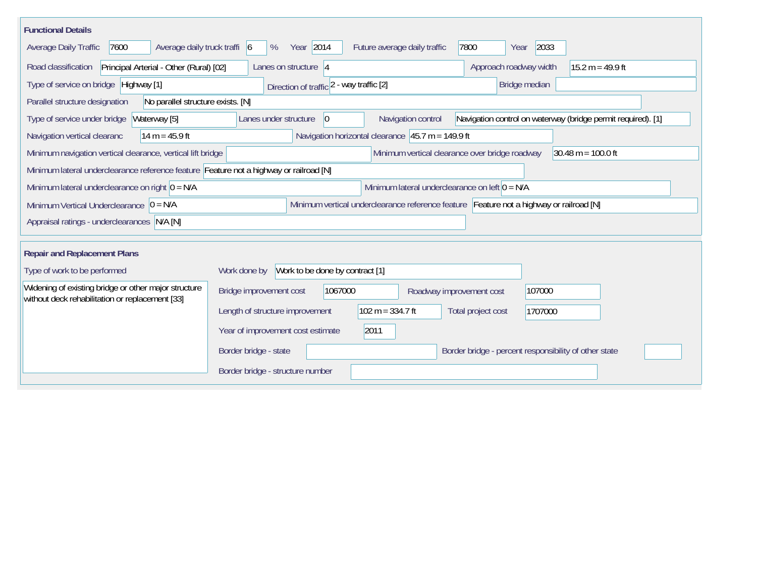| <b>Functional Details</b>                                                                                                                             |                                                                                                                            |  |  |  |  |  |  |  |
|-------------------------------------------------------------------------------------------------------------------------------------------------------|----------------------------------------------------------------------------------------------------------------------------|--|--|--|--|--|--|--|
| Average daily truck traffi 6<br>7600<br>Average Daily Traffic                                                                                         | Year 2014<br>2033<br>Future average daily traffic<br>7800<br>%<br>Year                                                     |  |  |  |  |  |  |  |
| Road classification<br>Principal Arterial - Other (Rural) [02]                                                                                        | Lanes on structure 4<br>Approach roadway width<br>$15.2 m = 49.9 ft$                                                       |  |  |  |  |  |  |  |
| Type of service on bridge Highway [1]                                                                                                                 | Direction of traffic 2 - way traffic [2]<br>Bridge median                                                                  |  |  |  |  |  |  |  |
| No parallel structure exists. [N]<br>Parallel structure designation                                                                                   |                                                                                                                            |  |  |  |  |  |  |  |
| Waterway [5]<br>Type of service under bridge                                                                                                          | Navigation control on waterway (bridge permit required). [1]<br>Lanes under structure<br>Navigation control<br>$ 0\rangle$ |  |  |  |  |  |  |  |
| 14 m = $45.9$ ft<br>Navigation vertical clearanc                                                                                                      | Navigation horizontal clearance $ 45.7 \text{ m} = 149.9 \text{ ft} $                                                      |  |  |  |  |  |  |  |
| $30.48 \text{ m} = 100.0 \text{ ft}$<br>Minimum navigation vertical clearance, vertical lift bridge<br>Minimum vertical clearance over bridge roadway |                                                                                                                            |  |  |  |  |  |  |  |
| Minimum lateral underclearance reference feature Feature not a highway or railroad [N]                                                                |                                                                                                                            |  |  |  |  |  |  |  |
| Minimum lateral underclearance on left $0 = N/A$<br>Minimum lateral underclearance on right $0 = N/A$                                                 |                                                                                                                            |  |  |  |  |  |  |  |
| Minimum vertical underclearance reference feature Feature not a highway or railroad [N]<br>Minimum Vertical Underclearance $ 0 = N/A $                |                                                                                                                            |  |  |  |  |  |  |  |
| Appraisal ratings - underclearances N/A [N]                                                                                                           |                                                                                                                            |  |  |  |  |  |  |  |
|                                                                                                                                                       |                                                                                                                            |  |  |  |  |  |  |  |
| <b>Repair and Replacement Plans</b>                                                                                                                   |                                                                                                                            |  |  |  |  |  |  |  |
| Type of work to be performed                                                                                                                          | Work done by Work to be done by contract [1]                                                                               |  |  |  |  |  |  |  |
| Widening of existing bridge or other major structure<br>without deck rehabilitation or replacement [33]                                               | 1067000<br>107000<br>Bridge improvement cost<br>Roadway improvement cost                                                   |  |  |  |  |  |  |  |
|                                                                                                                                                       | $102 m = 334.7 ft$<br>Length of structure improvement<br>Total project cost<br>1707000                                     |  |  |  |  |  |  |  |
|                                                                                                                                                       | 2011<br>Year of improvement cost estimate                                                                                  |  |  |  |  |  |  |  |
|                                                                                                                                                       | Border bridge - state<br>Border bridge - percent responsibility of other state                                             |  |  |  |  |  |  |  |
|                                                                                                                                                       | Border bridge - structure number                                                                                           |  |  |  |  |  |  |  |